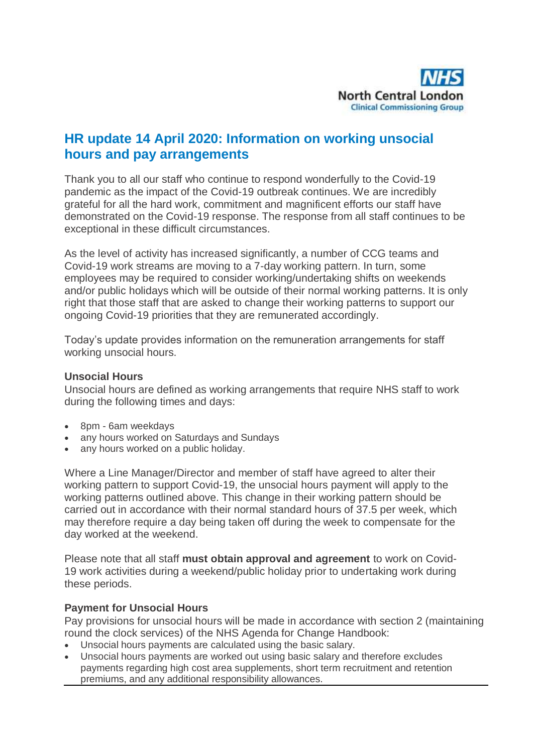

# **HR update 14 April 2020: Information on working unsocial hours and pay arrangements**

Thank you to all our staff who continue to respond wonderfully to the Covid-19 pandemic as the impact of the Covid-19 outbreak continues. We are incredibly grateful for all the hard work, commitment and magnificent efforts our staff have demonstrated on the Covid-19 response. The response from all staff continues to be exceptional in these difficult circumstances.

As the level of activity has increased significantly, a number of CCG teams and Covid-19 work streams are moving to a 7-day working pattern. In turn, some employees may be required to consider working/undertaking shifts on weekends and/or public holidays which will be outside of their normal working patterns. It is only right that those staff that are asked to change their working patterns to support our ongoing Covid-19 priorities that they are remunerated accordingly.

Today's update provides information on the remuneration arrangements for staff working unsocial hours.

#### **Unsocial Hours**

Unsocial hours are defined as working arrangements that require NHS staff to work during the following times and days:

- 8pm 6am weekdays
- any hours worked on Saturdays and Sundays
- any hours worked on a public holiday.

Where a Line Manager/Director and member of staff have agreed to alter their working pattern to support Covid-19, the unsocial hours payment will apply to the working patterns outlined above. This change in their working pattern should be carried out in accordance with their normal standard hours of 37.5 per week, which may therefore require a day being taken off during the week to compensate for the day worked at the weekend.

Please note that all staff **must obtain approval and agreement** to work on Covid-19 work activities during a weekend/public holiday prior to undertaking work during these periods.

### **Payment for Unsocial Hours**

Pay provisions for unsocial hours will be made in accordance with section 2 (maintaining round the clock services) of the NHS Agenda for Change Handbook:

- Unsocial hours payments are calculated using the basic salary.
- Unsocial hours payments are worked out using basic salary and therefore excludes payments regarding high cost area supplements, short term recruitment and retention premiums, and any additional responsibility allowances.